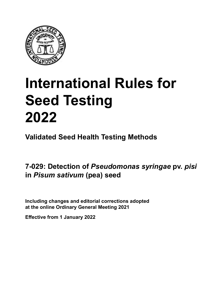

# **International Rules for Seed Testing von Saatgut 2022 2022 Semences 2022 International Rules for Seed Testing 2022**

**Métodos Validados para Análisis de Sanidad de Semillas Validate Méthodes Validées pour Analyse Sanitaire des Semences Validated Seed Health Testing Methods**

7-029: Detection of *Pseudomonas syringae* pv. *pisi* in *Pisum sativum* (pea) seed

Including changes and editorial corrections adopted at the online Ordinary General Meeting 2021

**Effective from 1 January 2022**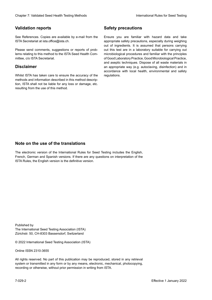## **Validation reports**

See References. Copies are available by e-mail from the<br>ISTA Secretariat at ista.office@ista.ch. ISTA Secretariat at ista.office@ista.ch.

lems relating to this method to the ISTA Seed Health Com-<br>mittee, c/o ISTA Secretariat. mittee, c/o ISTA Secretariat.<br>i Please send comments, suggestions or reports of prob-

## **Limitation de responsabilité Disclaimer**

Whilst ISTA has taken care to ensure the accuracy of the<br>methods and information described in this method description, ISTA shall not be liable for any loss or damage, etc.<br>resulting from the use of this method.<br>. resulting from the use of this method. Whilst ISTA has taken care to ensure the accuracy of the methods and information described in this method descrip-<br>tion, ISTA shall not be liable for any loss or damage, etc. tion, ISTA shall not be liable for any loss or damage, etc.<br>resulting from the use of this method.

## **Medidas de seguridad Sicherheitsmaßnahmen Sécurité Safety precautions**

Ensure you are familiar with hazard data and take Ensure you are familiar with hazard data and take<br>appropriate safety precautions, especially during weighing out of ingredients. It is assumed that persons carrying out this test are in a laboratory suitable for carrying out microbiological procedures and familiar with the principles of Good Laboratory Practice, Good Microbiological Practice, and aseptic techniques. Dispose of all waste materials in an appropriate way (e.g. autoclaving, disinfection) and in accordance with local health, environmental and safety regulations. Glade 7: Validated Deed Health Testing holesdos<br>
Validation reports<br>
Safety precedure and also recedure to the same of the same of the same of the based delayed about the same of<br>
Same December 2022Validation of the same o microbiological procedures and familiar with the principles<br>of Good Laboratory Practice, Good Microbiological Practice,<br>and aseptic techniques. Dispose of all waste materials in<br>an appropriate way (e.g. autoclaving, disinf fallstoffe sind auf geeignete Weise und entsprechend der vor Ort über und Umwelt-<br>Sicherheits- und Umwelt- und Umwelt-Effective Counter of Nicholas Devel Teach Teach Teach Devel Safety precedutions<br>
Validation reports<br>
Safety precedution reports and the symbol state of the sementic of the symbol state of the based delay and share<br>
Propose of Good Laboratory Practice, Good Microbiological Practice,<br>and aseptic techniques. Dispose of all waste materials in<br>an appropriate way (e.g. autoclaving, disinfection) and in Validation reports<br>
Since The Texture 1988 and the methods of the same of the Since Theorem and the methods of the methods of the methods of the methods of the methods of the methods of the methods of the methods of the me Ensure you are familiar with hazard data and take<br>appropriate safety precautions, especially during weighing<br>out of ingredients. It is assumed that persons carrying<br>out this test are in a laboratory suitable for carrying o

## **Nota sobre el uso de traducciones Anmerkung zur Benutzung der Übersetzungen Note on the use of the translations**

The electronic version of the International Rules for Seed Testing includes the English, French, German and Spanish versions. If there are any questions on interpretation of the ISTA Rules, the English version is the definitive version. The electronic version of the International Rules for Seed Testing includes the English,<br>French, German and Spanish versions. If there are any questions on interpretation of the<br>ISTA Rules, the English version is the defin The electronic version of the International Rules for Seed Testing includes the English,<br>French, German and Spanish versions. If there are any questions on interpretation of the

Published by **Extending Association (ISTA)** The International Seed Testing Association (ISTA) Zürichstr. 50, CH-8303 Bassersdorf, Switzerland

© 2022 International Seed Testing Association (ISTA)

Alle Rechte vorbehalten. Kein Teil dieses Werkes darf in irgendwelcher Form oder durch Online ISSN 2310-3655

All rights reserved. No part of this publication may be reproduced, stored in any retrieval All rights reserved. No part of this publication may be reproduced, stored in any retrieval<br>system or transmitted in any form or by any means, electronic, mechanical, photocopying,<br>recording or otherwise, without prior per recording or otherwise, without prior permis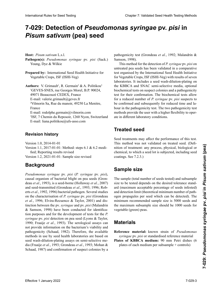# 7-029: Detection of *Pseudomonas syringae* pv. *pisi* in<br>*Pisum sativum* (pea) seed **semillas de** *Pisum sativum* **(arveja) Samen von** *Pisum sativum* **(Erbse)** *Pisum sativum* **(pea) seed**

**Hospedante:** *Pisum sativum* L.s.l. **Wirtspflanze:** *Pisum sativum* L.s.l. **Hôte :** *Pisum sativum* L. s.l. **Host:** *Pisum sativum* L.s.l.

- Pathogen(s): Pseudomonas syringae pv. pisi (Sack.)  $\text{Young, Dye} \& \text{Wilkie}$  $\mathcal{L}$
- Prepared by: International Seed Health Initiative for **Example 2018** Externational Section of Section 2018 11:00  $\frac{1}{2}$ Vegetable Crops, ISF (ISHI-Veg) Vegetable Crops, ISF (ISHI-Veg)
- Authors: V. Grimault<sup>1</sup>, R. Germain<sup>2</sup> & A. Politikou<sup>3</sup> <sup>1</sup>GEVES-SNES, rue Georges Morel, B.P. 90024, 49071 Beaucouzé CEDEX, France 49071 Beaucouzé CEDEX, France E-mail: valerie.grimault@geves.fr 2 49071 Beaucouzé CEDEX, Frankreich Courriel : valerie.grimault@geves.fr E-mail: valerie.grimault@geves.fr  $V<sub>1</sub>$  and  $V<sub>2</sub>$  Rue du manufacture, 49250 La Menitre,  $V<sub>1</sub>$ villilo<br>F France<br>E-mail: rodolphe.germain@vilmorin.com<br>355, 7 Chemin du Reposition du Repos E-mail: valerie.grimault@geves.fr 2 Vilmorin Sa, Rue du manoir, 49250 La Menitre, 2 Vilmorin Sa, Rue du manoir, 49250 La Menitre, France E-mail: rodolphe.germain@vilmorin.com rrance<br>E-mail: rodolphe.germain@vilmorin.com France

<sup>3</sup>ISF, 7 Chemin du Reposoir, 1260 Nyon, Switzerland E-mail: liana.politikou@ufs-asso.com E-mail: liana.politikou@ufs-asso.com

#### **Historial de revisiones Revision histor Historique de la révision Revision history**

Version 1.0, 2014-01-01

Version 1.1, 2017-01-01: Method: steps 6.1 & 6.2 modified; Reporting results revised

Version 1.2, 2021-01-01: Sample size revised

### **Background Hintergrund Historique**

*Pseudomonas syringae* pv. *pisi* (*P. syringae* pv. *pisi*), causal organism of bacterial blight on pea seeds (Gron-<br>deau et al., 1993), is a seed-borne (Hollaway et al., 2007) deau *et al.*, 1993), is a seed-borne (Hollaway *et al.*, 2007) and seed-transmitted (Grondeau et al., 1993; 1996; Roberts *et al.*, 1992, 1996) bacterial pathogen. Several studies on the characterisation of P. syringae pv. pisi (Grondeau *et al.*, 1996; Elvira-Recuenco & Taylor, 2001) and distinction between the py syringge and py nisi (Malandrin) tinction between the pv. *syringae* and pv. *pisi* (Malandrin *&* Samson, 1998) have been conducted for identification purposes and for the development of tests for the *P*. syringae pv. *pisi* detection on pea seed (Lyons & Taylor, *al*., 1990; Fraaije *et al.*, 1993). The serological assays can nar información sobre la via bilidad y patogenicidad de las serolo-<br>Al. 1990; Francisco et al., 1993) durchar de la via bilidad de la via de la via de la via de la via de la via pathogenicity (Schaad, 1982). Therefore, the available pathogenicity (Schaad, 1982).  $p_{\text{atm}}$  pathogenicity (Senaat, 1902). Therefore, the available lla se basan en análisis de siembra de siembra de directour de siembra de directour de siembra de directour de<br>District de la directour de la directour de la directour de la directour de la directour de la directour de la  $\text{gcd}$  wasn-ununon-pianing assays on semi-selective inedia (Fraaije *et al.*, 1993; Grondeau *et al.*, 1993; Mohan & Schaad, 1987) and confirmation of suspect colonies by a<br>standard and confirmation of suspect colonies by a painogementy (Senada, 1982). Therefore, the avanable<br>methods in use by seed health laboratories are based on<br>seed wash-dilution-plating assays on semi-selective me-<br>dia (Fraaije *et al.*, 1993; Grondeau *et al.*, 1993; Moh nethods in dse by seed health faboratories are based on<br>seed wash-dilution-plating assays on semi-selective me-<br>dia (Fraaije *et al.*, 1993; Grondeau *et al.*, 1993; Mohan & and seed-transmitted (Grondeau *et al.*, 1993; 1996; Roberts *et al.*, 1992, 1996) bacterial pathogen. Several studies on the characterisation of *P* syringae py nisi (Grondeau syringae pv. pisi detection on pea seed (Lyons & Taylor,<br>1990; Fraaije et al., 1993). The serological assays can<br>not provide information on the bacterium's viability and Heat *Pois non trait*e international relationship and publiship and traits and the detection of *Poyrigac* par under<br>
Yange Dye & Wikles a été valid from the state and one of the detection of *Poyrigac* par under<br>
Yegetabl International Rules 1.13 Seed Testing Control and Seed Testing Chapter 1: Validated Seed Testing Chapter 1: Validated Seed Testing Chapter 1: Validated Seed Testing Chapter 1: Validated Seed Health Testing Chapter 1: Vali erts *et al.*, 1992, 1996) bacterial pathogen. Several studies

pathogenicity test (Grondeau et al., 1992; Malandrin & siete ensayo fue organizado por Inter-

This method for the detection of *P. syringae* pv. *pisi* on  $\frac{1}{2}$  intreated nea seeds has been validated in a comparative test organised by the International Seed Health Initiative chimiques in the control operator of the colonies substitutions of seven for Vegetable Crops, ISF (ISHI-Veg) with results of seven bio regenere ereps, est (isin regumente erectent rasoratories. In morales a secal wash anation piants on the KBBCA and SNAC semi-selective media, optional biochemical tests on suspect colonies and a pathogenicity test for their confirmation. The biochemical tests allow  $\epsilon$  to the commutation. The official tests allow biochemical tests on suspect colonies and a pathogenicity<br>test for their confirmation. The biochemical tests allow<br>for a reduced number of *P. syringae* pv. *pisi* suspects to be confirmed and subsequently for reduced time and labour in the pathogenicity test. The two pathogenicity test. This method for the detection of *P. syringae* pv. *pisi* on<br>untreated pea seeds has been validated in a comparative<br>test organised by the International Seed Health Initiative the Vegetable Crops, ISF (ISHI-Veg) with results of seven<br>laboratories. It includes a seed wash-dilution-plating on<br>the KBBCA and SNAC-semi-selective media, optional<br>hiochemisel tests or surrest colonies and a nathogenisit methods provide the user with a higher flexibility to operate in different laboratory conditions. laboratories. It includes a seed wash-dilution-plating on

# El uso de semillas tratadas para realizar este ensayo puede **Behandeltes (gebeiztes) Saatgut** Les traitements de semences peuvent affecter la perfor-**Treated seed**

Seed treatments may affect the performance of this test. This method was not validated on treated seed. (Definition of treatment: any process, physical, biological or This method was not validated on treated seed. (Definition of treatment: any process, physical, biological or chemical, to which a seed lot is subjected, including seed coatings. See 7.2.3.) chemical, to which a seed lot is subjected, including seed coatings. See 7.2.3.)

### **Tamaño de la muestra Probengröße Taille de l'échantillon Sample size**

The sample (total number of seeds tested) and subsample<br>size to be tested depends on the desired tolerance stand-<br>ard (maximum accentable nercentage of seeds infested) size to be tested depends on the desired tolerance standard (maximum acceptable percentage of seeds infested)<br>and detection limit (theoretical minimum number of pathand detection limit (theoretical minimum number of pathdetected por seed which can be detected.<br>
Solon seeds and<br>
the maximum subsample size should be 1000 seeds for minimum recommended sample size is 5000 seeds and the maximum subsample size should be 1000 seeds for vegetable (green) peas.  $\mathcal{L}_{\mathcal{B}}$  maximal ( $\mathcal{B}$  sollte 1000  $\mathcal{B}$  such that and detection limit (theoretical minimum number of pathogen propagules per seed which can be detected). The minimum recommended sample size is 5000 seeds and ogen propagules per seed which can be detected). The

### **Material de referencia:** cepa conocida de *Pseudomonas* **Matériel Materials**

*syringae* pv. *pisi* o material de referencia estandarizado **Material Matériel de référence :** souches de *Pseudomonas* **Reference material:** known strain of *Pseudomonas syringae* pv. *pisi* or standardised reference material<br> **Place is the property**  $\frac{6}{5}$  pc planet por canda disea reference material **Reference in the standard von belance in the stamp of the stamp of the stamp of the stamp of the stamp of the stamp of the stamp of the stamp of the stamp of the stamp of the stamp of the stamp of the stamp of the stamp o** 

**Places of KDDCA medium;** 90 mm Fetti disties (0 plates of **RBBCA** medium; 90 mm retir disties (0)<br>plates of each medium per subsample + controls) Plates of KBBCA medium: 90 mm Petri dishes (6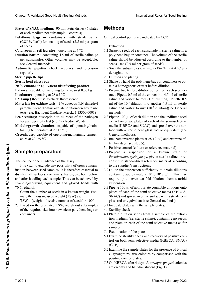- **Plates of SNAC medium:** 90 mm Petri dishes (6 plates of each medium per subsample + controls) of each medium per subsample + controls). **Plates of SNAC medium:** 90 mm Petri dishes (6 plates<br>of each medium per subsample + controls)<br>**Polythene bags or containers:** with sterile saline
- (0.85 % NaCl) for soaking of seeds (2.5 ml per gram of seed) of seed)<br>Cold room or refrigerator: operating at  $4^{\circ}$ C
- 
- **Dilution bottles:** containing 4.5 ml of sterile saline (2 per subsample). Other volumes may be acceptable: per subsample). Other volumes may be acceptable; **Balanza: Pipettense Pipettes automatiques automatiques automatiques et la précise de la précise de la précise de la précise de la précise de la précise de la précise de la précise de la précise de la précise de la pré**
- **Automatic pinettes:** check accur- $\sum_{i=1}^{n}$  **r** para verificar la fluorescencia  $\sum_{i=1}^{n}$  **n** Automatic pipettes: check accuracy and precision *Proventiges Ethanol of Ethanol of Properties*
- **Material**
- al 1 % de N,N-dimetil parafenilen diamino oxalato o **Waage:** Auf 0,001 g genau **Ethanol à 70 % ou produit de désinfection équivalent Sterile bent glass rods**

## **Increase, Secondary Secondary Secondary Secondary Secondary Secondary Secondary Secondary Secondary Secondary Seconda<br><b>70** % ethanol or equivalent disinfecting product

v canalor or **Palántula** supublica de arvejaing to the heatest 0.001 g **Delances** conclusion function to the necessarily **Datance:** capable of weighing to the heatest 0.001 g I<sub>n</sub> *I*<sub>2</sub>  $\frac{1}{2}$   $\frac{1}{2}$   $\frac{1}{2}$   $\frac{1}{2}$   $\frac{1}{2}$   $\frac{1}{2}$   $\frac{1}{2}$   $\frac{1}{2}$   $\frac{1}{2}$   $\frac{1}{2}$   $\frac{1}{2}$   $\frac{1}{2}$   $\frac{1}{2}$   $\frac{1}{2}$   $\frac{1}{2}$   $\frac{1}{2}$   $\frac{1}{2}$   $\frac{1}{2}$   $\frac{1}{2}$   $\frac{1}{2}$   $\frac{1}{2}$  **Balance:** capable of weighing to the nearest 0.001 g<br>**Incubatem** executive at 28, 12.8C **Incubator:** operating at  $28 \pm 2$  °C

- $\frac{1}{\text{Mean}}$  (26  $\text{Area}$ ),  $\frac{1}{\text{Mean}}$  dependent **IV lamp (365 nm):** to check fluorescence
- $\lim_{x \to 0} \sqrt{9}$ **Materials for 0xidase tests:** 1 % aqueous N, N-difficulty<br>paraphenylene diamine oxalate solution or ready to use parapnenyiene ulamine oxalate sol **Inversion Construction Construction**<br> **International manufactural manufactural manufactural manufactural manufactural manufactural manufactural manufactural manufactural manufactural manufactural manufactural manufactural Materials for oxidase tests:** 1 % aqueous N,N-dimethyl<br>**Materials for oxidase tests:** 1 % aqueous N,N-dimethyl paraphenyiene diamine oxalate solution of ready to use<br>tests (e.g. Bactident Oxidase, Merck, 1.13300.0001)
- lests (e.g. Bactuaent Oxidase, Merck, 1.13300.0001)<br>Pea seedlings: susceptible to all races of the pathogen for pathogenicity test (e.g. 'Kelvedon Wonder')
- taining temperature at  $20 \pm 2$  °C). **Module/growth chamber:** capable of operating/main-
- ature at 20–25 °C. **Greenhouse:** capable of operating/maintaining temper-

#### nación cruzada entre las muestras de semillas. Por lo tanto,  ${\tt sample}$  preparation Dies kann vor der Untersuchung stattfinden. Jede Möglichkeit der Kreuzkontamination zwischen **Préparation de l'échantillon Sample preparation**

This can be done in advance of the assay.

It is vital to exclude any possibility of cross-contamination between seed samples. It is therefore essential to ination between seed samples. It is therefore essential to<br>disinfect all surfaces, containers, hands, etc. both before and after handling each sample. This can be achieved by swabbing/spraying equipment and gloved hands with<br>70 % ethanol.<br>1 Count the number of seeds in a known weight Estidel tamaño requerido en una bolsa de polietileno o en 70 % ethanol. 70 % ethanol.<br>1. Count the number of seeds in a known weight. Esti-Clearly 7. Validierte University (1. Januar 1. Januar 2022)<br>
Clearly a material control of the control of the control of the control of the control of the control of the control of the control of the control of the contro Chaos T Validiated Seat beath their spin beat of plats beat beat the control of the Chaos Chaos Chaos Chaos Chaos Chaos Chaos Chaos Chaos Chaos Chaos Chaos Chaos Chaos Chaos Chaos Chaos Chaos Chaos Chaos Chaos Chaos Chaos Cropser 7: *bi*sion of the sont creation of the moiting between the sont creation of the sont continues of Secondary and Devine translucion of the sont continues with state in the sont continues et and the sont continues **Effective 1** A Positive center discution and the plane of Elementarial (2022)<br> **EFFECTIVE CONDITE CONDITE CONDITION**<br> **EFFECTIVE CONDITE CONDITION**<br> **EFFECTIVE CONDITION**<br> **EFFECTIVE CONDITE CONDITION**<br> **EFFECTIVE CONDIT** 

mate the thousand-seed weight (TSW) as:<br>TSW = (weight of seeds / number of seeds)  $\times$  1000

 $TSW = (weight of seeds / number of seeds) \times 1000$ 

2. Based on the estimated TSW, weigh out subsamples of the required size into new, clean polythene bags or Probengefäße abwiegen. **×** 1000 containers.  $\sum_{i=1}^{\infty}$ 

## **Métodos Methoden MéthodesMethods**

Critical control points are indicated by CCP.

- 1. Extraction
- 1.1 Suspend seeds of each subsample in sterile saline in a polythene bag or container. The volume of the sterile saline should be adjusted according to the number of<br>seeds used (2.5 ml per gram of seeds).<br>Soak the subsamples overnight (18–24 h) at 4 °C unseeds used  $(2.5 \text{ ml per gram of seeds})$ .
- 1.2 Soak the subsamples overnight (18–24 h) at 4 °C un- $\frac{1}{2}$  der agitation. der agitation.<br>
2. Dilution and plating<br>
2. Dilution and plating
- 
- 2.1 Shake by hand the polythene bags or containers to obtain a homogenous extract before dilution.
- ante a nonogéneous caracte obter difusion.<br>2.2 Prepare two tenfold dilution series from each seed ex-2.2 Prepare two teniones antanon series from each second tract. Pipette 0.5 ml of the extract into 4.5 ml of sterile saline and vortex to mix  $(10^{-1}$  dilution). Pipette 0.5<br>ml of the  $10^{-1}$  dilution into another 4.5 ml of sterile where  $\alpha$  is a 4,5 ml of the 10<sup>-1</sup> dilution into another 4.5 ml of sterile mezclare to and the another 4.5 ml of steries  $(10, 2, 1)$ . To  $(10, 1)$ . m or the TV diffusion into another 4.5 fm or sterile<br>saline and vortex to mix  $(10^{-2}$  dilution)(see General methods).<br> $\overline{a}$ methods).
- methods).<br>Pipette 100 µl of each dilution and the undiluted seed extract onto two plates of each of the semi-selective media (KBBCA and SNAC) and spread over the surmedia (KBBCA and SNAC) and spread over the sur-<br>face with a sterile bent glass rod or equivalent (see General methods).  $2.3$  Pipette 100  $\mu$ l of each dilution and the undiluted seed
- 2.4 Incubate inverted plates at  $28 \pm 2$  °C) and examine after 4–5 days (see step 5). ter 4–5 days (see step 5).
- 3. Positive control (culture or reference material)
- 3.1 Prepare a suspension of a known strain of *Pseudomonas syringae* pv. *pisi* in sterile saline or reconstitute standardised reference material according<br>to the supplier's instructions. to the supplier's instructions. constitute standardised reference material according<br>to the supplier's instructions.<br>3.2 Dilute the suspension sufficiently to obtain dilutions
- containing approximately 10<sup>2</sup> to 10<sup>3</sup> cfu/ml. This may require up to seven ten-fold dilutions from a turbid suspension. suspension.<br>Pipette 100 ul of appropriate countable dilutions onto
- plates of each of the semi-selective media (KBBCA, SNAC) and spread over the surface with a sterile bent<br>glass rod or equivalent (see General methods) glass rod or equivalent (see General methods).  $3.3$  Pipette 100 µl of appropriate countable dilutions onto<br>plates of each of the semi-selective media (KBBCA
- $3.4$  Incubate plates with the sample plates.
- 4. Sterility check
- 4.1 Plate a dilution series from a sample of the extractil ratte a anation series from a sample or the statute<br>tion medium (i.e. sterile saline), containing no seeds,  $4.4$   $\mu$  behavior  $\mu$ . 4.1 Prace on each of the series serience media as for  $\frac{1}{2}$  $\frac{4.66 \text{ m}}{100 \text{ m}}$ contenum (no. sement), contenung no secus, and plate on each of the semi-selective media as for samples.
- sampres.<br>5. Examination of the plates
- 3. Examination of the plates<br>5.1 Examine sterility check and recovery of positive con-Examine stermly check and recovery of  $\frac{1}{2}$  $\frac{1}{2}$ . Evanto de la sempre serva  $\begin{array}{c} \text{(CCF)}\\ \text{5.1 } \end{array}$ EXAMINE SEMINY CHECK AND JECOVER OF POSITYC CON- $\frac{1}{2}$  die bour sein-select  $\begin{bmatrix} \text{UCF} \end{bmatrix}$  $\mu$  positive surface of  $\mu$  and recovery of positive control on both semi-selective media (KBBCA, SNAC)  $\begin{bmatrix} \text{CCF} \end{bmatrix}$ (CCP).
- Examine the sample plates for the presence of typical Examine the sample plates for the presence of typical<br>P. syringae pv. pisi colonies by comparison with the positive control plates. 5.2 Examine the sample plates for the presence of typical 5.2 Examine the sample plates for the presence of typical
- 5.3 On KBBCA after 4 days, *P. syringae* pv. *pisi* colonies are creamy and half-translucent (Fig. 1).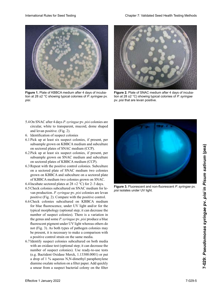

**Figure 1.** Plate of KBBCA medium after 4 days of incuba tion at 28 ±2 °C showing typical colonies of P. syringae pv. *syringae* pv. *pisi*. pv. *pisi pisi*.



**Figure 2.** Plate of SNAC medium after 4 days of incubation at 28  $\pm$ 2 °C) showing typical colonies of P. syringae pv. *pisi* that are levan positive.

- 5.4 On SNAC after 4 days *P. syringae* pv. *pisi* colonies are circular, white to transparent, mucoid, dome shaped<br>and levan positive. (Fig. 2). and levan positive. (Fig. 2).
- 6. Identification of suspect colonies
- 6.1 Pick up at least six suspect colonies, if present, per subsample grown on KBBCA medium and subculture<br>on sectored plates of SNAC medium (CCP). on sectored plates of SNAC medium (CCP). Identification of suspect colonies<br>Pick up at least six suspect colonies, if present, per<br>subsample grown on KBBCA medium and subculture 6.1 Pick up at least six suspect colonies, if present, per
- 6.2 Pick up at least six suspect colonies, if present, per subsample grown on SNAC medium and subculture on sectored plates of KBBCA medium (CCP).
- Repeat with the positive control colonies. Subculture on a sectored plate of SNAC medium two colonies grown on KBBCA and subculture on a sectored plate of KBBCA medium two colonies grown on SNAC.<br>6.4 Incubate sectored plates at 28 + 2 °C) for 2–3 days on sectored plates of KBBCA medium (CCP).<br>6.3 Repeat with the positive control colonies. Subculture<br>on a sectored plate of SNAC medium two colonies 6.3 Repeat with the positive control colonies. Subculture
- 6.4 Incubate sectored plates at  $28 \pm 2$  °C) for 2–3 days.
- $6.5$  Check colonies subcultured on SNAC medium for levan production. P. syringae pv. pisi colonies are levan  $t_{\text{max}}$  production  $\text{r.t. } y_1 \text{ arg} = p_1 p_2 p_3 t$  does not recently and  $\text{r.t. } y_1 \text{ arg} = p_1 p_2 t$
- positive (Fig. 2). Compare with the positive control.<br>6.6 Check colonies subcultured on KBBCA medium enced colonies subcurrent on RBBCA medium<br>for blue fluorescence, under UV light and/or for the for one morescence, under  $\sigma$  $\frac{1}{2}$   $\frac{6}{2}$   $\frac{1}{2}$   $\frac{1}{2}$   $\frac{1}{2}$   $\frac{1}{2}$   $\frac{1}{2}$   $\frac{1}{2}$   $\frac{1}{2}$   $\frac{1}{2}$   $\frac{1}{2}$   $\frac{1}{2}$   $\frac{1}{2}$   $\frac{1}{2}$   $\frac{1}{2}$   $\frac{1}{2}$   $\frac{1}{2}$   $\frac{1}{2}$   $\frac{1}{2}$   $\frac{1}{2}$   $\frac{1}{2}$   $\frac{1}{2}$   $\frac{1}{2}$  diasex diasex une number of suspect colonies). There is a variation in the genus and some *P. syringae* pv. *pisi* produce a blue the genus and some *r*. *syringue* pv. *pist* produce a blue<br>fluorescent pigment under UV light whereas others do not (Fig. 3). As both types of pathogen colonies may not (Fig. 3). As both types of pathogen colonies may<br>be present, it is necessary to make a comparison with a positive control strain on the same media. ren bruch nuorescence, under  $\sigma$  which and  $\sigma$  for the  $\alpha$  and  $\beta$  and  $\beta$  (optional step, it can decrease the typical morphology (optional step; it can decrease the **10.** Plate of KBBCA medium after 4 days of incuba-<br>at 28.  $\pm 2$  °C showing typical colonies of *P. syringae* pv.<br><br>
26. On SNAC after 4 days *P. syringae* pv. *pisi* colonies are<br>
incular, white to transparent, mucoid, d
- a positive control strain on the same media.<br>6.7 Identify suspect colonies subcultured on both media 6.7 Identify suspect colonies subcultured on both media<br>with an oxidase test (optional step; it can decrease the number of suspect colonies). Use ready-to-use tests (e.g. Bactident Oxidase Merck, 1.13300.0001) or put number of suspect colonies). Use ready-to-use tests<br>(e.g. Bactident Oxidase Merck, 1.13300.0001) or put<br>a drop of 1 % aqueous N,N-dimethyl paraphenylene diamine oxalate solution on a filter paper. Add quickly a smear from a suspect bacterial colony on the filter



**Figure 3.** Fluorescent and non-fluorescent *P. syringae* pv. *pisi* isolates under UV light.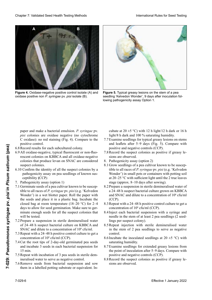

**Figure 4.** Oxidase-negative positive control isolate (A) and **Figure 4.** Oxidase-negative positive control isolate (A) and<br>oxidase positive non *P. syringae* pv. *pisi* isolate (B).



**Figure 5.** Typical greasy lesions on the stem of a pea seedling 'Kelvedon Wonder', 9 days after inoculation following pathogenicity assay Option 1.

paper and make a bacterial emulsion. *P. syringae* pv. paper and make a bacterial emulsion. *P. syringae* pv.<br>*pisi* colonies are oxidase negative (no cytochrome C oxidase): no red staining (Fig. 4). Compare to the C oxidase): no red staining positive control. *pisi* colonies are oxidase negative (no cytochrome C oxidase): no red staining (Fig. 4). Compare to the positive control.

- 6.8 Record results for each subcultured colony.
- 6.8 Record results for each subcultured colony.<br>6.9 All oxidase-negative, typical fluorescent or non-fluorescent colonies on KBBCA and all oxidase-negative colonies that produce levan on SNAC are considered<br>suspect colonies. do *suspect* colonies.
- 6.10 Confirm the identity of all the suspect colonies by a pathogenicity assay on pea seedlings of known suspathogenicity assay on pea seedlings of known susceptibility (CCP). ceptibility (CCP).<br>7. Pathogenicity assay (option 1)
- 
- 7. Pathogenicity assay (option 1)<br>7.1 Germinate seeds of a pea cultivar known to be susceptible to all races of P. syringae pv. pisi (e.g. 'Kelvedon tible to all races of *P. syringae* pv. *pisi* (e.g. 'Kelvedon<br>Wonder') in a wet blotter paper. Roll the paper with the seeds and place it in a plastic bag. Incubate the closed bag at room temperature (18–20 °C) for 2–4 days to allow for seed germination. Make sure to gerclosed bag at room temperature  $(18-20 \degree C)$  for 2-4 days to allow for seed germination. Make sure to germinate enough seeds for all the suspect colonies that will be tested. Effective turbularity could be a specified to the substitute of the sativation of the same of the same of the same of the same of the same of the same of the same of the same of the same of the same of the same of the sam tible to all races of *P. syringae* pv. *pisi* (e.g. 'Kelvedon Wonder') in a wet blotter paper. Roll the paper with the seeds and place it in a plastic bag. Incubate the closed bag at room temperature (18–20 °C) for 2–4 d
	- will be tested.<br>7.2 Prepare a suspension in sterile demineralised water of 24–48 h suspect bacterial culture on KBBCA and SNAC and dilute to a concentration of  $10^8$  cfu/ml. of 24–48 h suspect bacterial culture on KBBCA and<br>SNAC and dilute to a concentration of 10<sup>8</sup> cfu/ml.<br>Repeat with a 24–48 h positive control culture to get a 7.2 Prepare a suspension in sterile demineralised water of 24–48 h suspect bacterial culture on KBBCA and SNAC and dilute to a concentration of 108 cfu/ml.
	- 7.3 Repeat with a 24–48 h positive control culture to get a concentration of  $10^8$  cfu/ml (CCP).
	- 7.4 Cut the root tips of 2-day-old germinated pea seeds<br>and incubate 3 seeds in each bacterial suspension for<br>15 min. Cut the root tips of 2-day-old germinated pea seeds<br>and incubate 3 seeds in each bacterial suspension for  $15 \text{ min.}$
	- 7.5 Repeat with incubation of 3 pea seeds in sterile dem-<br>ineralised water to serve as negative control. ineralised water to serve as negative control.
	- ineralised water to serve as negative control.<br>Remove seeds from bacterial suspension and sow them in a labelled potting substrate or eq 7.6 Remove seeds from bacterial suspension and sow them in a labelled potting substrate or equivalent. In-

cubate at  $20 \pm 5$  °C) with 12 h light/12 h dark or 16 h light/8 h dark and 100 % saturating humidity. light/8 h dark and 100 % saturating humidity.

- 7.7 Examine seedlings for typical greasy lesions on stems and leaflets after 5–9 days (Fig. 5). Compare with positive and negative controls (CCP).
- positive and negative controls (CCP).<br>7.8 Record the suspect colonies as positive if greasy le*pions are observed.* sions are observed.<br>8. Pathogenicity assay (option 2)
- 
- 8.1 Grow seedlings of a pea cultivar known to be suscep-8.1 Grow seedlings of a pea cultivar known to be susceptible to all races of *P. syringae* pv. *pisi* (e.g. 'Kelvedon Wonder') in small pots or containers with potting soil Wonder') in small pots or containers with potting soil at  $20-25$  °C with sufficient light until the 2 true leaves stage (approx.  $8-10$  days after sowing). stage (approx. 8–10 days after sowing).
- 8.2 Prepare a suspension in sterile demineralised water of a 24–48 h suspect bacterial culture grown on KBBCA 8.2 Prepare a suspension in sterile demineralised water of<br>a 24–48 h suspect bacterial culture grown on KBBCA<br>and SNAC and dilute to a concentration of  $10^6$  cfu/ml  $(CCP)$ . and SNAC and dilute to a concentration of 10<sup>6</sup> (CCP).
- 8.3 Repeat with a 24–48 h positive control culture to get a concentration of 10<sup>6</sup> cfu/ml (CCP). concentration of  $10^6$  cfu/ml (CCP).
- 8.4 Inject each bacterial suspension with a syringe and needle in the stem of at least 2 pea seedlings (2 seedneedle in the stem of at least 2 pea seedlings (2 seedlings per suspect colony).
- 8.5 Repeat injection with sterile demineralised water in the stem of 2 pea seedlings to serve as negative  $\alpha$  examination las para detectar lesiones grass grass grass grass grass grass grass grass grass grass grass grass grass grass grass grass grass grass grass grass grass grass grass grass grass grass grass grass grass gras 8.5 Repeat injection with sterile demineralised water in the stem of 2 pea seedlings to serve as negative control.
- 8.6 Incubate the inoculated seedlings at 20  $\pm$ 5 °C) with saturating humidity. de 5–9 días. Comparating humidity.
- saturating humidity.<br>8.7 Examine seedlings for extended greasy lesions from the point of inoculation after 5–9 days. Compare with positive and negative controls (CCP). positive and negative controls (CCP). the point of inoculation after 5–9 days. Compare with<br>positive and negative controls (CCP).<br>8.8 Record the suspect colonies as positive if greasy le-
- sions are observed.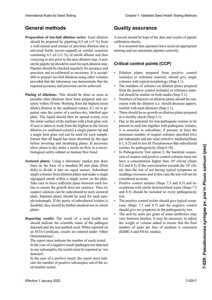## **General methods**

- Preparation of ten-fold dilution series: Each dilution should be prepared by pipetting  $0.5$  ml ( $\pm 5$  %) from a well-mixed seed extract or previous dilution into a universal bottle (screw-capped) or similar container containing 4.5 ml ( $\pm$ 2 %) of sterile diluent and then vortexing to mix prior to the next dilution step. A new sterile pipette tip should be used for each dilution step.<br>Pinettes should be checked regularly for accuracy and Pipettes should be checked regularly for accuracy and precision and re-calibrated as necessary. It is acceptpossibilitar alle controlada dilutions using other volumes able to prepare ten-fold dilutions using other volumes exactive property can recurrent management community provided that the habitatory can demonstrate that the required accuracy and precision can be achieved. a well-mixed seed extract or previous dilution into a<br>universal bottle (screw-capped) or similar container<br>containing 4.5 ml ( $\pm 2$  %) of sterile dilutnis, and then<br>vortexing to mix prior to the next dilution step. A new precision and re-calibrated as necessary. It is accept-<br>able to prepare ten-fold dilutions using other volumes<br>provided that the laboratory can demonstrate that the<br>required accuracy and precision can be achieved. universal bottle (screw-capped) or similar container provided that the laboratory can demonstrate that the plus haute diau alle raccoratory can demonstrate that the required accuracy and precision can be achieved.
- Plating of dilutions: This should be done as soon as ing or unutions. This should be done as soon as<br>possible after dilutions have been prepared and certanny within 50 nm. working from the ingliest (most<br>dilute) dilution to the undiluted extract, 0.1 ml is pi- $\alpha$  and  $\beta$  como sea positive de haber preparado la sea preparado la dipetied onto the centre of a surface-dry, fabelled agar plate. The liquid should then be spread evenly over the entire surface of the medium with a bent glass rod. petica onto the centre of a surface-dry, labelled agar<br>plate. The liquid should then be spread evenly over<br>the entire surface of the medium with a bent glass rod.<br>If care is taken to work from the highest to the lowest dilution (or undiluted extract) a single pipette tip and a single bent glass rod can be used for each sample. Ensure that all liquid has been absorbed by the agar before inverting and incubating plates. If necessary allow plates to dry under a sterile air-flow in a microallow plates to dry under a sterile air-flow in a micro-<br>biological safety cabinet or laminar flow hood. possible and endurons have been prepared and centrally within 30 min. Working from the highest (most anue) anunon to the unantitied extract, 0.1 mil is pipetted onto the centre of a surface-dry, labelled agar International Rule Instead of the cost of the Chapter Chapter Chapter 2: Chapter 2: Chapter 2: Validated Seed Testing Chapter 2: Validated Seed Testing Chapter 2: Validated Seed Testing Chapter 2: Validated Seed Testing C
- tored plates: Using a laboratory marker pen draw Sectored plates: Using a laboratory marker pen draw<br>lines on the base of a standard 90 mm plate (Petri dish) to divide it into six equal sectors. Subculture dish) to divide it into six equal sectors. Subculture<br>single colonies from dilution plates and make a single Take care to leave sufficient space between each isolate to ensure the growth does not coalesce. Thus six suspect colonies can be subcultured to each sectored plate. Separate plates should be used for each sample/subsample. If the purity of subcultured isolates is<br>doubtful they should be further streaked out on whole  $\frac{1}{2}$  doubtful they should be further streaked out on whole doubtful, they should be further streaked out on whole<br>plates nen al crecer. Así, se pueden subcultivar seis colonias colonias colonias colonias colonias colonias colonias<br>Externas zigzagged streak within a single sector on the plate. lité sanction de semences de semences de vrait indiquer le nom de vrait indiquer le nom de vrait indiquer le n<br>Le nom de vrait indiquer le nom de vrait indiquer le nom de vrait indiquer le nom de vrait indiquer le nom de plates.
- **Reporting results:** The result of a seed health test should indicate the scientific name of the pathogen detected and the test method used. When reported on  $SFA = \frac{1}{2}$ **Informations:**<br>The same de resultado de la resultado de un análisis de saan ISTA Certificate, results are entered under 'Other für jede Probe.<br>Det inimations Determinations'.

nie report must muitate the number of seeds tested. In the case of a negative result (pathogen not detected In the report must marcate the number of seeds tested.<br>In the case of a negative result (pathogen not detected<br>in any subsample), the results must be reported as 'not dos se ingresan bajo 'Otras detecto 'Otras de tecnología de la constructiva de la constructiva de la constructiva de la constructiva de la constructiva de la constructiva de la constructiva de la constructiva de la constru The report must indicate the number of seeds tested. detected'.

In the case of a positive result, the report must indicate the number of positive subsamples out of the total number tested.

# **Quality assurance**

A record should be kept of the date and results of pipette<br>calibration checks. calibration checks.

ibration checks.<br>It is essential that operators have received appropriate training and use automatic pipettes correctly. dicar el número de sub-muestras positivas del número Der Prüfbericht muss die Anzahl untersuchter Samen angeben. correctement.

#### itical control points (CCP)  $\blacksquare$ ner Teilprobe nachgewiesen) müssen die Ergebnisse die Ergebnisse von die Ergebnisse von die Ergebnisse von die<br>Ergebnisse von die Ergebnisse von die Ergebnisse von die Ergebnisse von die Ergebnisse von die Ergebnisse von **Points critiques de contrôle (CCP) Critical control points (CCP)**

- Dilution plates prepared from positive control  $\frac{d}{dt}$  colonies with typical morphology (Step 5.1).  $\frac{1}{2}$  isolate(s) or reference material, should give single<br>colonies with typical morphology (Step 5.1)
- The numbers of colonies on dilution plates prepared  $E$  este  $\mu$  the negative control  $i$ coloto $(c)$  or reference motomáticas automáticas automáticas automáticas automáticas automáticas automáticas automáticas automáticas automáticas automáticas automáticas automáticas aut  $\frac{1}{2}$  recibido capacitación apropiada para una correctación apropiada para una correctación en  $\frac{1}{2}$ rial should be similar on both media (Step 5.1).<br> **•** Numbers of bacteria on dilution plates should be  $\frac{1}{2}$ . from the positive control isolate(s) or reference mate-<br>include all the similar or hath madia (Stan 5.1)
- riai should be similar on both media (Blep 9.1). **Pulse control de control (PCC)**<br>Ergebnissen erstellt werden. sistent with the dilution (i.e. should decrease approx. • Numbers of bacteria on dilution plates should be consistem with the dilution (i.e. should denfold with each dilution) (Step 5.1).  $\epsilon$  encore with each dilution (Step 3.1).
- as a sterility check (Step 5.1). I here should be no growth on dilution plates prepared • There should be no growth on dilution plates prepared
- Due to the potential for non-pathogenic isolates to be present in seed lots together with pathogenic isolates, it is essential to subculture, if present, at least the minimum number of suspect colonies specified (two per subsample and per semi-selective medium)(Steps per subsample and per semi-selective medium)(Steps<br>6.1, 6.2) and to test all *Pseudomonas*-like subcultured isolates for pathogenicity (Step 6.10).
- In Pathogenicity Test option 2, the bacterial suspen-In Pathogenicity Test option 2, the bacterial suspension of suspect and positive control colonies must not sion of suspect and positive control colonies must not<br>have a concentration higher than  $10^6$  cfu/ml (Steps 8.2 and 8.3). If the concentration exceeds the  $10<sup>6</sup>$  cfu/ ml, then the risk of not having typical symptoms on seedlings increases and in this case the test will not be<br>considered accurate. considered accurate.
- Positive control isolates (Steps 7.3 and 8.3) and in-<br>oculations with sterile demineralised water (Steps 7.5) oculations with sterile demineralised water (Steps 7.5<br>and 8.5) should be included in every pathogenicity and 8.5) should be included in every pathogenicity test  $\frac{1}{2}$  test  $\det$  ne peut pas être considéré considéré considéré considéré considéré considéré considéré considéré considéré comme fix  $\det$ test.
- The positive control isolate should give typical symp-<br>toms (Steps  $77$  and  $87$ ) and the negative control toms (Steps 7.7 and 8.7) and the negative control should give no symptoms in the pathogenicity test.
- The activity units per gram of some antibiotics may rne aenvir, ame per gram er some anterertes may<br>vary between batches. It may be necessary to adjust vary between battenes. It may be necessary to adjust<br>the weight or volume added to ensure that the final 110 weight of volume auded to ensure that the final  $p_1$  and  $p_2$  into the equal is consistent (KBBCA and SNAC media). en wegn of volume aand to ensure that the final vary between batches. It may be necessary to adjust<br>the weight or volume added to ensure that the final<br>number of units per litre of medium is consistent • L'activité par gramme (g) de certains antibiotiques peut varier selon les lots. Il peut être nécessaire d'ajuster le poids ou le volume ajouté pour s'assurer que le nombre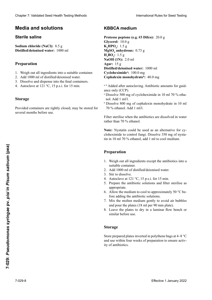## **Media and solutions**

# debe mostrar síntomas en la prueba de patogenicidad. kulationen mit sterilem deionisiertem Wasser (Schritte 7.5 und 8.5) sollten in jedem Pathogenitätstest einge-**Solution saline stérile Sterile saline**

**Sodium chloride (NaCl):** 8.5 g Sodium chloride (NaCl): 8.5 g<br>Distilled/deionised water: 1000 ml

### • Die Aktivität je Gramm Antibiotikum kann zwischen **Préparation Preparation** den Chargen variieren. Es ist daher notwendig, die eerste daher notwendig, die eerste daher notwendig, die eerste daher notwendig, die eerste daher notwendig, die eerste daher notwendig, die eerste daher notwendig, die eer

- 1. Weigh out all ingredients into a suitable container.
- 2. Add 1000 ml of distilled/deionised water.
- 2. The Tooo III of distributions water.<br>3. Dissolve and dispense into the final containers.
- $\therefore$  Tratocia ve at  $121$  e,  $15$  p.s. 4. Autoclave at  $121 \degree C$ ,  $15 \text{ p.s.}$  for  $15 \text{ min}$ .

# **Media und Lösungen**

**Preparación Sterile Kochsalzlösung** Si les récipients sont bien fermés, la solution peut être stocseveral months before use. Provided containers are tightly closed, may be stored for

## **Medio KBBCA KBBCA-Medium Milieu KBBCA KBBCA medium**

**Proteose peptone (e.g. #3 Difco):** 20.0 g **Glycerol:** 10.0 g  $K_2$ **HPO<sub>4</sub>:** 1.5 g<br>**MgSO<sub>4</sub> anhydr**  $M$ **gSO<sub>4</sub>** anhydrous: 0.73 g  $H_3$ **BO<sub>3</sub>:** 1.5 g **H<sub>3</sub>BO<sub>3</sub>:** 1.5 g<br>**NaOH (1N):** 2.0 ml **Agar:** 15 g 15 **Agar :** 15 **Agar:** 15 g **Distilled/deionised water:** 1000 ml **Cicloheximida <sup>a</sup> :** 100,0 mg **Cycloheximida :** 100,0 mg **Cycloheximidea :** 100,0 mg **Cycloheximidea :** 100.0 mg **Cephalexin monohydrate<sup>b</sup>: 40.0 mg** Clearlier 2. Validated Seed Feschi Testing folehold<br>
Media and Solutions From the Methoden zur Gesundheitsprüfung von Saatgut Internationale Contentsprüfung von Saatgut Internationale Vorschriften für die Prüfung von Saat Chaose 7 Voldsheid Sead Health Toring Media Sead Health Toring Media Sead Health Toring Media Sead Health Toring Media Sead Health Toring Chaosette (NetCh): 8.5 g<br>
NetChaosette and Scaling Chaosette (NetCh): 8.5 g<br>
NetCha

- a, b Added after autoclaving. Antibiotic amounts for guidance only (CCP).
- $\sum_{n=1}^{\infty}$   $\frac{500}{20}$  mg of evalshavimida in 10 ml 70  $\frac{1}{20}$  ethn  $\alpha$  Dissolve 500 mg of cycloheximide in 10 ml 70 % etha- $\mathbb{R}^n$  de cephalexina monotonical monotonical monomydrator en 10 ml 70 ml 70-prozenti-monohydrationical monotonical monotonical monotonical monotonical monotonical monotonical monotonical monotonical monotonical monot  $\frac{1}{2}$  monoka monohydrate dans monohydrate dans monohydrate dans monohydrate dans monohydrate dans monohydrate dans monohydrate dans monohydrate dans monohydrate dans monohydrate dans monohydrate dans monohydrate dans nol. Add 1 ml/l.
- Dissolve 800 liig of cepha.<br>70 % ethanol. Add 1 ml/l.  $\mu_{\text{B}}$   $\mu_{\text{C}}$  and  $\mu_{\text{D}}$  is the volume volume volume volume volume volume volume volume volume volume volume volume volume volume volume volume volume volume volume volume volume volume volume volume volume vo  $\frac{1}{20}$  Dissolve 800 mg of cephalexin monohydrate in 10 ml

Filtrar y esterilizar cuando los antibióticos estén disueltos Filter sterilise when the antibiot Wenn die Antibiotika in Wasser statt 70-prozentigem Etha-Filter sterlijse when the antibiotics are dissolved in Stériliser par filtration quand les antibiotiques sont dissouts Filter sterilise when the antibiotics are dissolved in water rather than 70 % ethanol.

**Nota:** La nistatina puede ser usada como una alternativa a **Note:** Nystatin could be used as an alternative for cycloheximide to control fungi. Dissolve 350 mg of nystacloheximide to control fungi. Dissolve 350 mg of nysta-<br>tin in 10 ml 70 % ethanol, add 1 ml to cool medium. **Anmerkung:** Nystatin kann als Alternative für Cyclohe-Note: Nystatin could be used as an alternative for cy-**Remarque :** La nystatine peut être utilisée comme alterna-Note: Nystatin could be used as an alternative for cy-

## **Preparation**

- 1. Weigh out all ingredients except the antibiotics into a suitable container. suitable container.
- 2. Add 1000 ml of distilled/deionised water.
- 3. Stir to dissolve.
- 4. Autoclave at 121 °C, 15 p.s.i. for 15 min.
- 5. Prepare the antibiotic solutions and filter sterilise as appropriate.
- 6. Allow the medium to cool to approximately 50 °C before adding the antibiotic solutions.
- 7. Mix the molten medium gently to avoid air bubbles and pour the plates  $(18 \text{ ml per } 90 \text{ mm plate})$ .<br>
8. Lesse the plates to dry in a laminar flow bench or
- 8. Leave the plates to dry in a laminar flow bench or 8. Dejar secar las placas bajo campana de flujo laminar o ten (18 ml je 90 mm Petrischale). 8. Laisser les boîtes sécher sous hotte à flux laminaire ou similar before use. similar serore ase. 8. Vor der weiteren der Platten der Platten in der Platten in der Platten in der Platten in der Platten in der Platten in der Platten in der Platten in der Platten in der Platten in der Platten in der Platten in der Platte équivalent avant d'utiliser.

# Storage

Store prepared plates inverted in porythene bags at  $\pm 8$ store prepared plates inverted in polyticite bags at  $4-6$  C<br>and use within four weeks of preparation to ensure activity of antibiotics. Store prepared plates inverted in polythene bags at 4–8 °C Freparation<br>
1. Weigh out all ingredients except the antibioties into a<br>
2. stifable container.<br>
2. Add 1000 and of distilled/deionised water.<br>
3. Stir to dissolve  $\frac{1}{2}$  °C, 1.5 p.s.i. for 1.5 min.<br>
5. Prepare the ant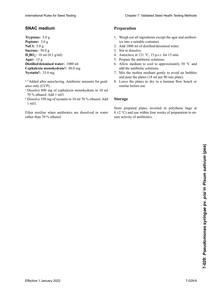## **Medio SNAC SNAC-Medium Milieu SNAC SNAC medium**

**Triptona:** 5,0 g **Trypton:** 5,0 g **Tryptone:** 5,0 g **Tryptone:** 5.0 g **Peptona:** 3,0 g **Pepton:** 3,0 g **Peptone:** 3,0 g **Peptone:** 3.0 g **NaCl:** 5,0 g **NaCl :** 5,0 g **NaCl:** 5.0 g **Sacarosa:** 50,0 g **Sucrose:** 50,0 g **Sucrose :** 50,0 g **Sucrose:** 50.0 g  $H_3BO_3: 10 \text{ ml} (0.1 \text{ g/ml})$ **Agar:** 15 g **Agar :** 15 g **Agar:** 15 g **Distilled/deionised water:** 1000 ml **Cephalexin monohydrate<sup>a</sup>:** 80.0 mg **Nistatina b :** 35,0 mg **Nystatinb :** 35,0 mg **Nystatineb :** 35,0 mg **Nystatinb :** 35.0 mg International Rules for Seed Testing Chapter 7: Validated Seed Health Testing Methods<br>
SNAC Transfers For Secondary 1:<br>
Transfers For Secondary 1:<br>
Transfers For Secondary 1:<br>
Next Transfers for Secondary 1:<br>
Next Transfe

- a, b Added after autoclaving. Antibiotic amounts for guidance only (CCP).
- ance  $\sigma$ ny (CCI).<br>A Dissolver 800 mg of cephalexin-monohydrate in 10 ml 70 % ethanol. Add 1 ml/l. <sup>a</sup> Dissolve 800 mg of cephalexin monohydrate in 10 ml
- $b$  Disolver 350 mg de naturalis in 10 ml 70 %, at each  $\lambda$  44  $L_{1,1/1}^{3,301}$  $350$  mg  $\frac{1}{250}$  mg  $\frac{1}{250}$  mg  $\frac{1}{250}$  mg  $\frac{1}{250}$  mg  $\frac{1}{250}$  mg  $\frac{1}{250}$  mg  $\frac{1}{250}$  mg  $\frac{1}{250}$  mg  $\frac{1}{250}$  mg  $\frac{1}{250}$  mg  $\frac{1}{250}$  mg  $\frac{1}{250}$  mg  $\frac{1}{250}$  mg  $\frac{1}{250}$  mg  $\$  $L_{1,1/1}$  $10^{70}$  de cenanol. Aqui 1 millie.<br>Dissolve 350 mg de nystatine dans 1.70 0/ attended à 14.  $\frac{1}{2}$  Dissolve 350 mg of nystatin in 10 ml 70 % ethanol. Add 1 ml/l.

Esterilizar con filtro cuando los antibióticos estén disueltos Filter sterlijse when antibiotics Wenn die Antibiotika in Wasser statt 70-prozentigem Etha-Filter sterlijse wien antibiotics are dissolved in Stériliser par filtration quand les antibiotiques sont dissous Filter sterilise when antibiotics are dissolved in water rather than 70 % ethanol.

## **Preparation**

- 1. Weigh out all ingredients except the agar and antibiotics into a suitable container.
- 2. Add 1000 ml of distilled/deionised water.
- 3. Stir to dissolve.
- 4. Autoclave at 121 °C, 15 p.s.i. for 15 min.
- 5. Prepare the antibiotic solutions.
- 6. Allow medium to cool to approximately 50 °C and add the antibiotic solutions.
- 1. Mix the molten medium gently to avoid air bubbles <sup>7.</sup> The last the last placement les bulles group to a vertex and court les bulles (18 ml per 90 mm plate).
- and pour die places (18 ml petrole in petrole). similar before use.<br>similar before use. chen verwendet werden, um die Aktivität der Antibiotikat der Antibiotikat der Antibiotikat der Antibiotikat de  $\frac{1}{2}$

## **Storage**

Almacenar las placas preparadas de fmanera invertida y store prepared plates inverted in polythene bags at  $8 \pm 2$  °C) and use within four weeks of preparation to ensure activity of antibiotics. sure activity of antibiotics. Store prepared plates inverted in polythene bags at